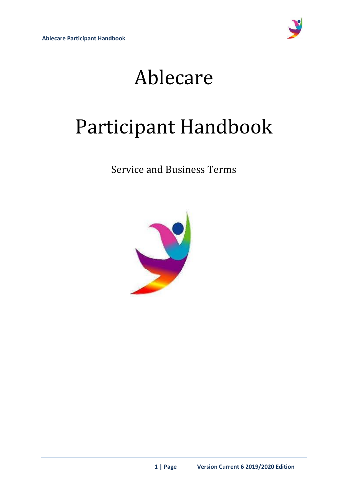

# Ablecare

# Participant Handbook

Service and Business Terms

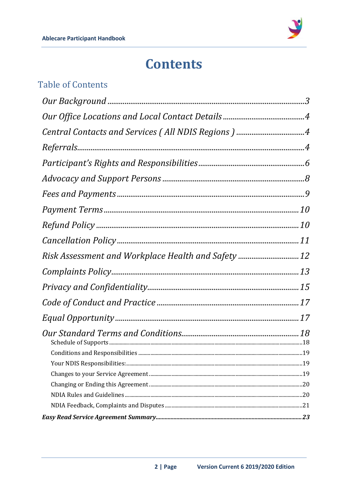

## **Contents**

### **Table of Contents**

| Central Contacts and Services (All NDIS Regions) 4  |  |
|-----------------------------------------------------|--|
|                                                     |  |
|                                                     |  |
|                                                     |  |
|                                                     |  |
|                                                     |  |
|                                                     |  |
|                                                     |  |
| Risk Assessment and Workplace Health and Safety  12 |  |
|                                                     |  |
|                                                     |  |
|                                                     |  |
|                                                     |  |
|                                                     |  |
|                                                     |  |
|                                                     |  |
|                                                     |  |
|                                                     |  |
|                                                     |  |
|                                                     |  |
|                                                     |  |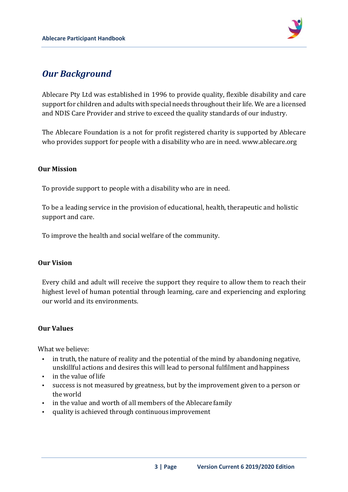

### <span id="page-2-0"></span>*Our Background*

Ablecare Pty Ltd was established in 1996 to provide quality, flexible disability and care support for children and adults with special needs throughout their life. We are a licensed and NDIS Care Provider and strive to exceed the quality standards of our industry.

The Ablecare Foundation is a not for profit registered charity is supported by Ablecare who provides support for people with a disability who are in need. www.ablecare.org

#### **Our Mission**

To provide support to people with a disability who are in need.

To be a leading service in the provision of educational, health, therapeutic and holistic support and care.

To improve the health and social welfare of the community.

#### **Our Vision**

Every child and adult will receive the support they require to allow them to reach their highest level of human potential through learning, care and experiencing and exploring our world and its environments.

#### **Our Values**

What we believe:

- in truth, the nature of reality and the potential of the mind by abandoning negative, unskillful actions and desires this will lead to personal fulfilment andhappiness
- in the value of life
- success is not measured by greatness, but by the improvement given to a person or the world
- If in the value and worth of all members of the Ablecare family
- quality is achieved through continuous improvement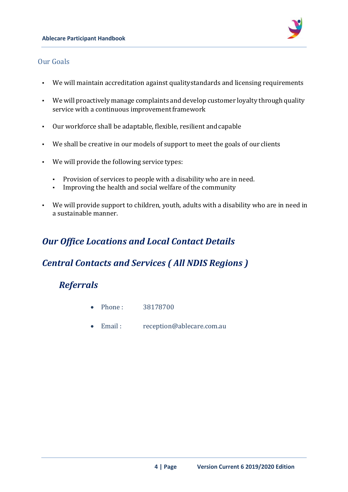

#### Our Goals

- We will maintain accreditation against qualitystandards and licensing requirements
- We will proactively manage complaints and develop customer loyalty through quality service with a continuous improvement framework
- Our workforce shall be adaptable, flexible, resilient andcapable
- We shall be creative in our models of support to meet the goals of our clients
- We will provide the following service types:
	- Provision of services to people with a disability who are in need.
	- Improving the health and social welfare of the community
- We will provide support to children, youth, adults with a disability who are in need in a sustainable manner.

### <span id="page-3-0"></span>*Our Office Locations and Local Contact Details*

### <span id="page-3-1"></span>*Central Contacts and Services ( All NDIS Regions )*

### <span id="page-3-2"></span>*Referrals*

- Phone : 38178700
- Email : reception@ablecare.com.au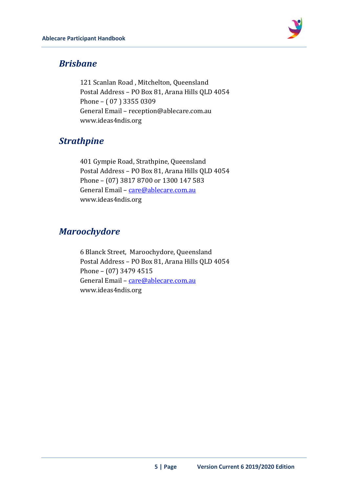

### *Brisbane*

121 Scanlan Road , Mitchelton, Queensland Postal Address – PO Box 81, Arana Hills QLD 4054 Phone – ( 07 ) 3355 0309 General Email – reception@ablecare.com.au www.ideas4ndis.org

### *Strathpine*

401 Gympie Road, Strathpine, Queensland Postal Address – PO Box 81, Arana Hills QLD 4054 Phone – (07) 3817 8700 or 1300 147 583 General Email - [care@ablecare.com.au](mailto:care@ablecare.com.au) www.ideas4ndis.org

### *Maroochydore*

6 Blanck Street, Maroochydore, Queensland Postal Address – PO Box 81, Arana Hills QLD 4054 Phone – (07) 3479 4515 General Email - [care@ablecare.com.au](mailto:care@ablecare.com.au) www.ideas4ndis.org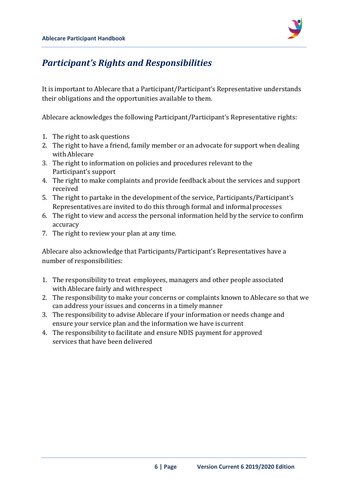

### <span id="page-5-0"></span>*Participant's Rights and Responsibilities*

It is important to Ablecare that a Participant/Participant's Representative understands their obligations and the opportunities available to them.

Ablecare acknowledges the following Participant/Participant's Representative rights:

- 1. The right to ask questions
- 2. The right to have a friend, family member or an advocate for support when dealing with Ablecare
- 3. The right to information on policies and procedures relevant to the Participant's support
- 4. The right to make complaints and provide feedback about the services and support received
- 5. The right to partake in the development of the service, Participants/Participant's Representatives are invited to do this through formal and informalprocesses
- 6. The right to view and access the personal information held by the service to confirm accuracy
- 7. The right to review your plan at any time.

Ablecare also acknowledge that Participants/Participant's Representatives have a number of responsibilities:

- 1. The responsibility to treat employees, managers and other people associated with Ablecare fairly and withrespect
- 2. The responsibility to make your concerns or complaints known to Ablecare so that we can address your issues and concerns in a timely manner
- 3. The responsibility to advise Ablecare if your information or needs change and ensure your service plan and the information we have is current
- 4. The responsibility to facilitate and ensure NDIS payment for approved services that have been delivered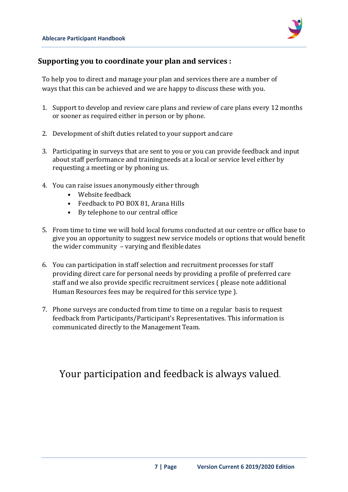

#### **Supporting you to coordinate your plan and services :**

To help you to direct and manage your plan and services there are a number of ways that this can be achieved and we are happy to discuss these with you.

- 1. Support to develop and review care plans and review of care plans every 12months or sooner as required either in person or by phone.
- 2. Development of shift duties related to your support andcare
- 3. Participating in surveys that are sent to you or you can provide feedback and input about staff performance and trainingneeds at a local or service level either by requesting a meeting or by phoning us.
- 4. You can raise issues anonymously either through
	- Website feedback
	- Feedback to PO BOX 81, Arana Hills
	- By telephone to our central office
- 5. From time to time we will hold local forums conducted at our centre or office base to give you an opportunity to suggest new service models or options that would benefit the wider community – varying and flexibledates
- 6. You can participation in staff selection and recruitment processes for staff providing direct care for personal needs by providing a profile of preferred care staff and we also provide specific recruitment services ( please note additional Human Resources fees may be required for this service type ).
- 7. Phone surveys are conducted from time to time on a regular basis to request feedback from Participants/Participant's Representatives. This information is communicated directly to the Management Team.

Your participation and feedback is always valued.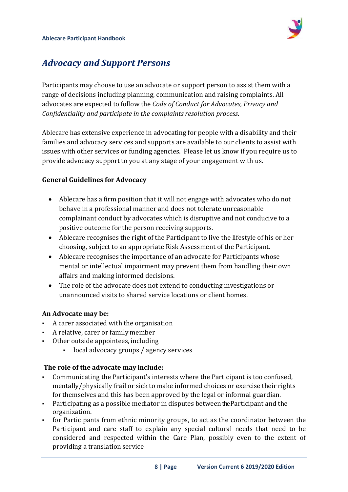

### <span id="page-7-0"></span>*Advocacy and Support Persons*

Participants may choose to use an advocate or support person to assist them with a range of decisions including planning, communication and raising complaints. All advocates are expected to follow the *Code of Conduct for Advocates, Privacy and Confidentiality and participate in the complaints resolution process*.

Ablecare has extensive experience in advocating for people with a disability and their families and advocacy services and supports are available to our clients to assist with issues with other services or funding agencies. Please let us know if you require us to provide advocacy support to you at any stage of your engagement with us.

#### **General Guidelines for Advocacy**

- Ablecare has a firm position that it will not engage with advocates who do not behave in a professional manner and does not tolerate unreasonable complainant conduct by advocates which is disruptive and not conducive to a positive outcome for the person receiving supports.
- Ablecare recognises the right of the Participant to live the lifestyle of his or her choosing, subject to an appropriate Risk Assessment of the Participant.
- Ablecare recognises the importance of an advocate for Participants whose mental or intellectual impairment may prevent them from handling their own affairs and making informed decisions.
- The role of the advocate does not extend to conducting investigations or unannounced visits to shared service locations or client homes.

#### **An Advocate may be:**

- A carer associated with the organisation
- A relative, carer or family member
- Other outside appointees, including
	- local advocacy groups / agency services

#### **The role of the advocate may include:**

- Communicating the Participant's interests where the Participant is too confused, mentally/physically frail or sick to make informed choices or exercise their rights for themselves and this has been approved by the legal or informal guardian.
- Participating as a possible mediator in disputes between the Participant and the organization.
- for Participants from ethnic minority groups, to act as the coordinator between the Participant and care staff to explain any special cultural needs that need to be considered and respected within the Care Plan, possibly even to the extent of providing a translation service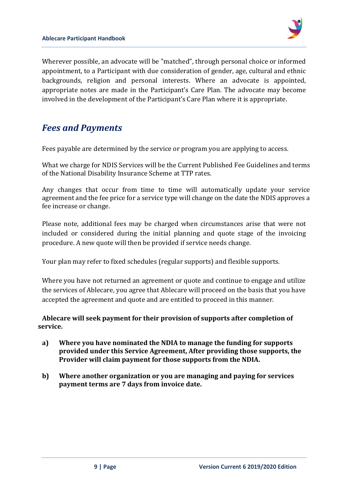

Wherever possible, an advocate will be "matched", through personal choice or informed appointment, to a Participant with due consideration of gender, age, cultural and ethnic backgrounds, religion and personal interests. Where an advocate is appointed, appropriate notes are made in the Participant's Care Plan. The advocate may become involved in the development of the Participant's Care Plan where it is appropriate.

### <span id="page-8-0"></span>*Fees and Payments*

Fees payable are determined by the service or program you are applying to access.

What we charge for NDIS Services will be the Current Published Fee Guidelines and terms of the National Disability Insurance Scheme at TTP rates.

Any changes that occur from time to time will automatically update your service agreement and the fee price for a service type will change on the date the NDIS approves a fee increase or change.

Please note, additional fees may be charged when circumstances arise that were not included or considered during the initial planning and quote stage of the invoicing procedure. A new quote will then be provided if service needs change.

Your plan may refer to fixed schedules (regular supports) and flexible supports.

Where you have not returned an agreement or quote and continue to engage and utilize the services of Ablecare, you agree that Ablecare will proceed on the basis that you have accepted the agreement and quote and are entitled to proceed in this manner.

#### **Ablecare will seek payment for their provision of supports after completion of service.**

- **a) Where you have nominated the NDIA to manage the funding for supports provided under this Service Agreement, After providing those supports, the Provider will claim payment for those supports from the NDIA.**
- **b) Where another organization or you are managing and paying for services payment terms are 7 days from invoice date.**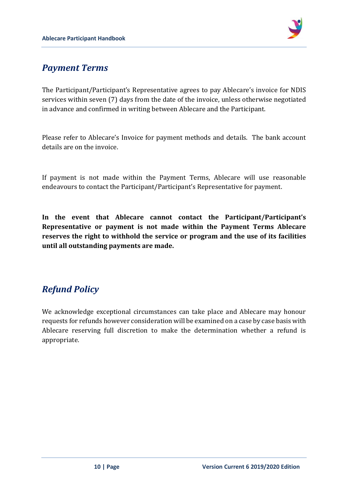

### <span id="page-9-0"></span>*Payment Terms*

The Participant/Participant's Representative agrees to pay Ablecare's invoice for NDIS services within seven (7) days from the date of the invoice, unless otherwise negotiated in advance and confirmed in writing between Ablecare and the Participant.

Please refer to Ablecare's Invoice for payment methods and details. The bank account details are on the invoice.

If payment is not made within the Payment Terms, Ablecare will use reasonable endeavours to contact the Participant/Participant's Representative for payment.

**In the event that Ablecare cannot contact the Participant/Participant's Representative or payment is not made within the Payment Terms Ablecare reserves the right to withhold the service or program and the use of its facilities until all outstanding payments are made.**

### <span id="page-9-1"></span>*Refund Policy*

We acknowledge exceptional circumstances can take place and Ablecare may honour requests for refunds however consideration will be examined on a case by case basis with Ablecare reserving full discretion to make the determination whether a refund is appropriate.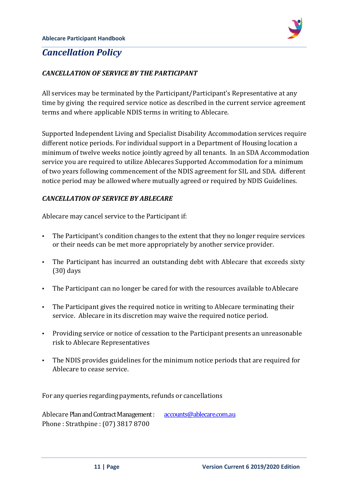

### <span id="page-10-0"></span>*Cancellation Policy*

#### *CANCELLATION OF SERVICE BY THE PARTICIPANT*

All services may be terminated by the Participant/Participant's Representative at any time by giving the required service notice as described in the current service agreement terms and where applicable NDIS terms in writing to Ablecare.

Supported Independent Living and Specialist Disability Accommodation services require different notice periods. For individual support in a Department of Housing location a minimum of twelve weeks notice jointly agreed by all tenants. In an SDA Accommodation service you are required to utilize Ablecares Supported Accommodation for a minimum of two years following commencement of the NDIS agreement for SIL and SDA. different notice period may be allowed where mutually agreed or required by NDIS Guidelines.

#### *CANCELLATION OF SERVICE BY ABLECARE*

Ablecare may cancel service to the Participant if:

- The Participant's condition changes to the extent that they no longer require services or their needs can be met more appropriately by another service provider.
- The Participant has incurred an outstanding debt with Ablecare that exceeds sixty (30) days
- The Participant can no longer be cared for with the resources available toAblecare
- The Participant gives the required notice in writing to Ablecare terminating their service. Ablecare in its discretion may waive the required notice period.
- Providing service or notice of cessation to the Participant presents an unreasonable risk to Ablecare Representatives
- The NDIS provides guidelines for the minimum notice periods that are required for Ablecare to cease service.

For any queries regarding payments, refunds or cancellations

Ablecare Plan and Contract Management : [accounts@ablecare.com.au](mailto:accounts@ablecare.com.au) Phone : Strathpine : (07) 3817 8700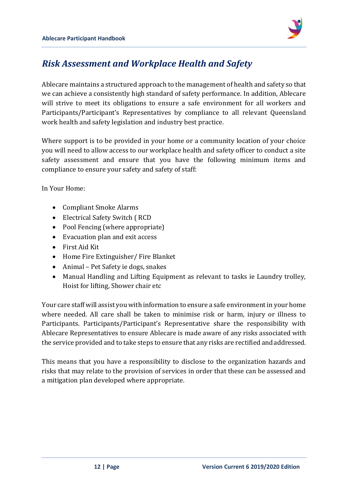

### <span id="page-11-0"></span>*Risk Assessment and Workplace Health and Safety*

Ablecare maintains a structured approach to the management of health and safety so that we can achieve a consistently high standard of safety performance. In addition, Ablecare will strive to meet its obligations to ensure a safe environment for all workers and Participants/Participant's Representatives by compliance to all relevant Queensland work health and safety legislation and industry best practice.

Where support is to be provided in your home or a community location of your choice you will need to allow access to our workplace health and safety officer to conduct a site safety assessment and ensure that you have the following minimum items and compliance to ensure your safety and safety of staff:

In Your Home:

- Compliant Smoke Alarms
- Electrical Safety Switch ( RCD
- Pool Fencing (where appropriate)
- Evacuation plan and exit access
- First Aid Kit
- Home Fire Extinguisher/ Fire Blanket
- Animal Pet Safety ie dogs, snakes
- Manual Handling and Lifting Equipment as relevant to tasks ie Laundry trolley, Hoist for lifting, Shower chair etc

Your care staff will assist you with information to ensure a safe environment in your home where needed. All care shall be taken to minimise risk or harm, injury or illness to Participants. Participants/Participant's Representative share the responsibility with Ablecare Representatives to ensure Ablecare is made aware of any risks associated with the service provided and to take steps to ensure that any risks are rectified andaddressed.

This means that you have a responsibility to disclose to the organization hazards and risks that may relate to the provision of services in order that these can be assessed and a mitigation plan developed where appropriate.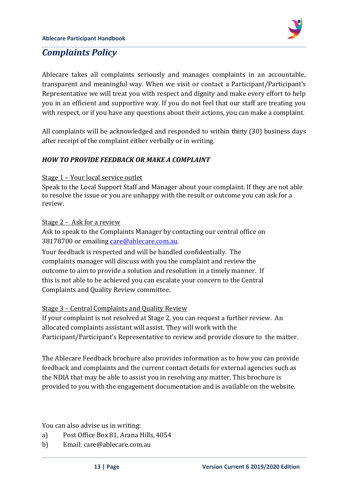

### <span id="page-12-0"></span>*Complaints Policy*

Ablecare takes all complaints seriously and manages complaints in an accountable, transparent and meaningful way. When we visit or contact a Participant/Participant's Representative we will treat you with respect and dignity and make every effort to help you in an efficient and supportive way. If you do not feel that our staff are treating you with respect, or if you have any questions about their actions, you can make a complaint.

All complaints will be acknowledged and responded to within thirty (30) business days after receipt of the complaint either verbally or in writing.

#### *HOW TO PROVIDE FEEDBACK OR MAKE A COMPLAINT*

#### Stage 1 – Your local service outlet

Speak to the Local Support Staff and Manager about your complaint. If they are not able to resolve the issue or you are unhappy with the result or outcome you can ask for a review.

#### Stage 2 – Ask for a review

Ask to speak to the Complaints Manager by contacting our central office on 38178700 or emailing [care@ablecare.com.au.](mailto:care@ablecare.com.au)

Your feedback is respected and will be handled confidentially. The complaints manager will discuss with you the complaint and review the outcome to aim to provide a solution and resolution in a timely manner. If this is not able to be achieved you can escalate your concern to the Central Complaints and Quality Review committee.

#### Stage 3 – Central Complaints and Quality Review

If your complaint is not resolved at Stage 2, you can request a further review. An allocated complaints assistant will assist. They will work with the Participant/Participant's Representative to review and provide closure to the matter.

The Ablecare Feedback brochure also provides information as to how you can provide feedback and complaints and the current contact details for external agencies such as the NDIA that may be able to assist you in resolving any matter. This brochure is provided to you with the engagement documentation and is available on the website.

You can also advise us in writing:

- a) Post Office Box 81, Arana Hills, 4054
- b) Email: care@ablecare.com.au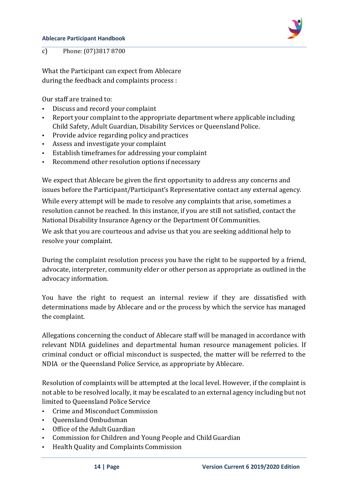#### **Ablecare Participant Handbook**



c) Phone: (07)3817 8700

What the Participant can expect from Ablecare during the feedback and complaints process :

Our staff are trained to:

- Discuss and record your complaint
- Report your complaint to the appropriate department where applicable including Child Safety, Adult Guardian, Disability Services or QueenslandPolice.
- Provide advice regarding policy and practices
- Assess and investigate your complaint
- Establish timeframes for addressing yourcomplaint
- Recommend other resolution options if necessary

We expect that Ablecare be given the first opportunity to address any concerns and issues before the Participant/Participant's Representative contact any external agency.

While every attempt will be made to resolve any complaints that arise, sometimes a resolution cannot be reached. In this instance, if you are still not satisfied, contact the National Disability Insurance Agency or the Department Of Communities.

We ask that you are courteous and advise us that you are seeking additional help to resolve your complaint.

During the complaint resolution process you have the right to be supported by a friend, advocate, interpreter, community elder or other person as appropriate as outlined in the advocacy information.

You have the right to request an internal review if they are dissatisfied with determinations made by Ablecare and or the process by which the service has managed the complaint.

Allegations concerning the conduct of Ablecare staff will be managed in accordance with relevant NDIA guidelines and departmental human resource management policies. If criminal conduct or official misconduct is suspected, the matter will be referred to the NDIA or the Queensland Police Service, as appropriate by Ablecare.

Resolution of complaints will be attempted at the local level. However, if the complaint is not able to be resolved locally, it may be escalated to an external agency including but not limited to Queensland Police Service

- Crime and Misconduct Commission
- Queensland Ombudsman
- Office of the Adult Guardian
- Commission for Children and Young People and ChildGuardian
- Health Quality and Complaints Commission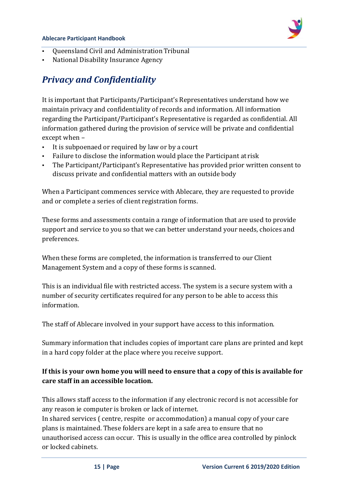#### **Ablecare Participant Handbook**



- Queensland Civil and Administration Tribunal
- National Disability Insurance Agency

### <span id="page-14-0"></span>*Privacy and Confidentiality*

It is important that Participants/Participant's Representatives understand how we maintain privacy and confidentiality of records and information. All information regarding the Participant/Participant's Representative is regarded as confidential. All information gathered during the provision of service will be private and confidential except when –

- It is subpoenaed or required by law or by a court
- Failure to disclose the information would place the Participant at risk
- The Participant/Participant's Representative has provided prior written consent to discuss private and confidential matters with an outside body

When a Participant commences service with Ablecare, they are requested to provide and or complete a series of client registration forms.

These forms and assessments contain a range of information that are used to provide support and service to you so that we can better understand your needs, choices and preferences.

When these forms are completed, the information is transferred to our Client Management System and a copy of these forms is scanned.

This is an individual file with restricted access. The system is a secure system with a number of security certificates required for any person to be able to access this information.

The staff of Ablecare involved in your support have access to this information.

Summary information that includes copies of important care plans are printed and kept in a hard copy folder at the place where you receive support.

#### **If this is your own home you will need to ensure that a copy of this is available for care staff in an accessible location.**

This allows staff access to the information if any electronic record is not accessible for any reason ie computer is broken or lack of internet.

In shared services ( centre, respite or accommodation) a manual copy of your care plans is maintained. These folders are kept in a safe area to ensure that no unauthorised access can occur. This is usually in the office area controlled by pinlock or locked cabinets.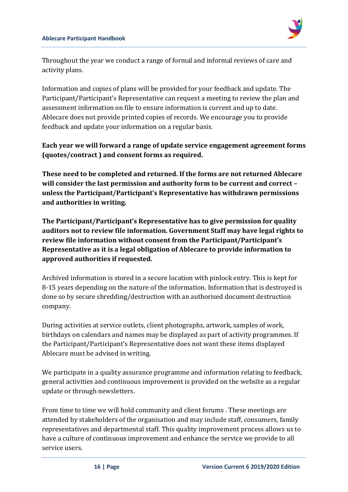

Throughout the year we conduct a range of formal and informal reviews of care and activity plans.

Information and copies of plans will be provided for your feedback and update. The Participant/Participant's Representative can request a meeting to review the plan and assessment information on file to ensure information is current and up to date. Ablecare does not provide printed copies of records. We encourage you to provide feedback and update your information on a regular basis.

#### **Each year we will forward a range of update service engagement agreement forms (quotes/contract ) and consent forms as required.**

**These need to be completed and returned. If the forms are not returned Ablecare will consider the last permission and authority form to be current and correct – unless the Participant/Participant's Representative has withdrawn permissions and authorities in writing.**

**The Participant/Participant's Representative has to give permission for quality auditors not to review file information. Government Staff may have legal rights to review file information without consent from the Participant/Participant's Representative as it is a legal obligation of Ablecare to provide information to approved authorities if requested.**

Archived information is stored in a secure location with pinlock entry. This is kept for 8-15 years depending on the nature of the information. Information that is destroyed is done so by secure shredding/destruction with an authorised document destruction company.

During activities at service outlets, client photographs, artwork, samples of work, birthdays on calendars and names may be displayed as part of activity programmes. If the Participant/Participant's Representative does not want these items displayed Ablecare must be advised in writing.

We participate in a quality assurance programme and information relating to feedback, general activities and continuous improvement is provided on the website as a regular update or through newsletters.

From time to time we will hold community and client forums . These meetings are attended by stakeholders of the organisation and may include staff, consumers, family representatives and departmental staff. This quality improvement process allows us to have a culture of continuous improvement and enhance the service we provide to all service users.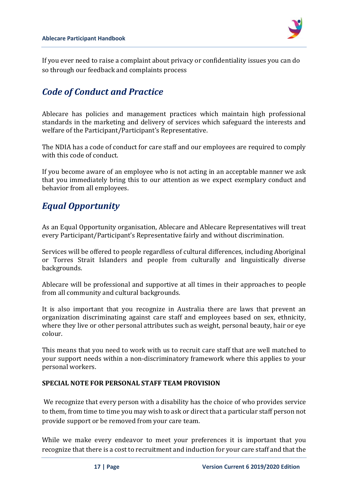

If you ever need to raise a complaint about privacy or confidentiality issues you can do so through our feedback and complaints process

### <span id="page-16-0"></span>*Code of Conduct and Practice*

Ablecare has policies and management practices which maintain high professional standards in the marketing and delivery of services which safeguard the interests and welfare of the Participant/Participant's Representative.

The NDIA has a code of conduct for care staff and our employees are required to comply with this code of conduct.

If you become aware of an employee who is not acting in an acceptable manner we ask that you immediately bring this to our attention as we expect exemplary conduct and behavior from all employees.

### <span id="page-16-1"></span>*Equal Opportunity*

As an Equal Opportunity organisation, Ablecare and Ablecare Representatives will treat every Participant/Participant's Representative fairly and without discrimination.

Services will be offered to people regardless of cultural differences, including Aboriginal or Torres Strait Islanders and people from culturally and linguistically diverse backgrounds.

Ablecare will be professional and supportive at all times in their approaches to people from all community and cultural backgrounds.

It is also important that you recognize in Australia there are laws that prevent an organization discriminating against care staff and employees based on sex, ethnicity, where they live or other personal attributes such as weight, personal beauty, hair or eye colour.

This means that you need to work with us to recruit care staff that are well matched to your support needs within a non-discriminatory framework where this applies to your personal workers.

#### **SPECIAL NOTE FOR PERSONAL STAFF TEAM PROVISION**

We recognize that every person with a disability has the choice of who provides service to them, from time to time you may wish to ask or direct that a particular staff person not provide support or be removed from your care team.

While we make every endeavor to meet your preferences it is important that you recognize that there is a cost to recruitment and induction for your care staff and that the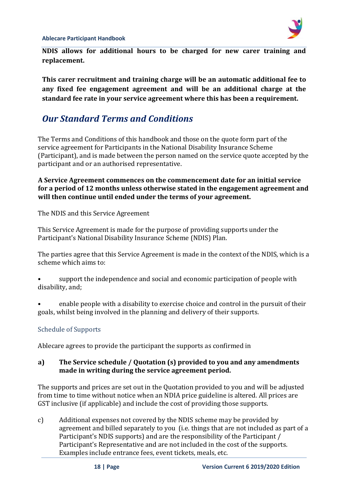**NDIS allows for additional hours to be charged for new carer training and replacement.** 

**This carer recruitment and training charge will be an automatic additional fee to any fixed fee engagement agreement and will be an additional charge at the standard fee rate in your service agreement where this has been a requirement.**

### <span id="page-17-0"></span>*Our Standard Terms and Conditions*

The Terms and Conditions of this handbook and those on the quote form part of the service agreement for Participants in the National Disability Insurance Scheme (Participant), and is made between the person named on the service quote accepted by the participant and or an authorised representative.

**A Service Agreement commences on the commencement date for an initial service for a period of 12 months unless otherwise stated in the engagement agreement and will then continue until ended under the terms of your agreement.**

The NDIS and this Service Agreement

This Service Agreement is made for the purpose of providing supports under the Participant's National Disability Insurance Scheme (NDIS) Plan.

The parties agree that this Service Agreement is made in the context of the NDIS, which is a scheme which aims to:

• support the independence and social and economic participation of people with disability, and;

• enable people with a disability to exercise choice and control in the pursuit of their goals, whilst being involved in the planning and delivery of their supports.

#### <span id="page-17-1"></span>Schedule of Supports

Ablecare agrees to provide the participant the supports as confirmed in

#### **a) The Service schedule / Quotation (s) provided to you and any amendments made in writing during the service agreement period.**

The supports and prices are set out in the Quotation provided to you and will be adjusted from time to time without notice when an NDIA price guideline is altered. All prices are GST inclusive (if applicable) and include the cost of providing those supports.

c) Additional expenses not covered by the NDIS scheme may be provided by agreement and billed separately to you (i.e. things that are not included as part of a Participant's NDIS supports) and are the responsibility of the Participant / Participant's Representative and are not included in the cost of the supports. Examples include entrance fees, event tickets, meals, etc.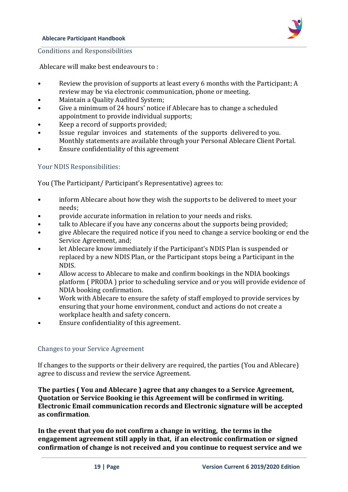#### **Ablecare Participant Handbook**



<span id="page-18-0"></span>Conditions and Responsibilities

Ablecare will make best endeavours to :

- Review the provision of supports at least every 6 months with the Participant; A review may be via electronic communication, phone or meeting.
- Maintain a Quality Audited System;
- Give a minimum of 24 hours' notice if Ablecare has to change a scheduled appointment to provide individual supports;
- Keep a record of supports provided;
- Issue regular invoices and statements of the supports delivered to you. Monthly statements are available through your Personal Ablecare Client Portal.
- Ensure confidentiality of this agreement

#### <span id="page-18-1"></span>Your NDIS Responsibilities:

You (The Participant/ Participant's Representative) agrees to:

- inform Ablecare about how they wish the supports to be delivered to meet your needs;
- provide accurate information in relation to your needs and risks.
- talk to Ablecare if you have any concerns about the supports being provided;
- give Ablecare the required notice if you need to change a service booking or end the Service Agreement, and;
- let Ablecare know immediately if the Participant's NDIS Plan is suspended or replaced by a new NDIS Plan, or the Participant stops being a Participant in the NDIS.
- Allow access to Ablecare to make and confirm bookings in the NDIA bookings platform ( PRODA ) prior to scheduling service and or you will provide evidence of NDIA booking confirmation.
- Work with Ablecare to ensure the safety of staff employed to provide services by ensuring that your home environment, conduct and actions do not create a workplace health and safety concern.
- Ensure confidentiality of this agreement.

#### <span id="page-18-2"></span>Changes to your Service Agreement

If changes to the supports or their delivery are required, the parties (You and Ablecare) agree to discuss and review the service Agreement.

**The parties ( You and Ablecare ) agree that any changes to a Service Agreement, Quotation or Service Booking ie this Agreement will be confirmed in writing. Electronic Email communication records and Electronic signature will be accepted as confirmation**.

**In the event that you do not confirm a change in writing, the terms in the engagement agreement still apply in that, if an electronic confirmation or signed confirmation of change is not received and you continue to request service and we**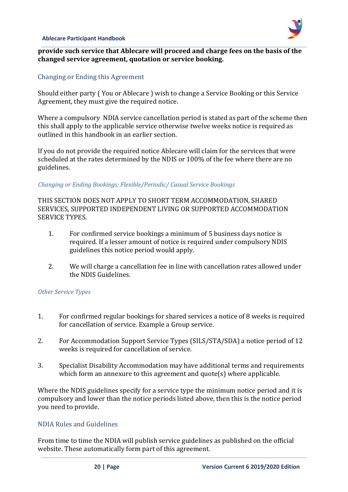

#### **provide such service that Ablecare will proceed and charge fees on the basis of the changed service agreement, quotation or service booking.**

#### <span id="page-19-0"></span>Changing or Ending this Agreement

Should either party ( You or Ablecare ) wish to change a Service Booking or this Service Agreement, they must give the required notice.

Where a compulsory NDIA service cancellation period is stated as part of the scheme then this shall apply to the applicable service otherwise twelve weeks notice is required as outlined in this handbook in an earlier section.

If you do not provide the required notice Ablecare will claim for the services that were scheduled at the rates determined by the NDIS or 100% of the fee where there are no guidelines.

#### *Changing or Ending Bookings: Flexible/Periodic/ Casual Service Bookings*

THIS SECTION DOES NOT APPLY TO SHORT TERM ACCOMMODATION, SHARED SERVICES, SUPPORTED INDEPENDENT LIVING OR SUPPORTED ACCOMMODATION SERVICE TYPES.

- 1. For confirmed service bookings a minimum of 5 business days notice is required. If a lesser amount of notice is required under compulsory NDIS guidelines this notice period would apply.
- 2. We will charge a cancellation fee in line with cancellation rates allowed under the NDIS Guidelines.

#### *Other Service Types*

- 1. For confirmed regular bookings for shared services a notice of 8 weeks is required for cancellation of service. Example a Group service.
- 2. For Accommodation Support Service Types (SILS/STA/SDA) a notice period of 12 weeks is required for cancellation of service.
- 3. Specialist Disability Accommodation may have additional terms and requirements which form an annexure to this agreement and quote(s) where applicable.

Where the NDIS guidelines specify for a service type the minimum notice period and it is compulsory and lower than the notice periods listed above, then this is the notice period you need to provide.

#### <span id="page-19-1"></span>NDIA Rules and Guidelines

From time to time the NDIA will publish service guidelines as published on the official website. These automatically form part of this agreement.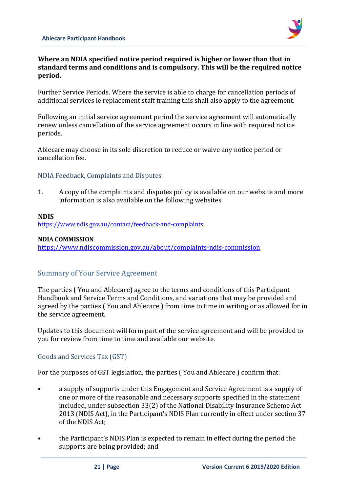

#### **Where an NDIA specified notice period required is higher or lower than that in standard terms and conditions and is compulsory. This will be the required notice period.**

Further Service Periods. Where the service is able to charge for cancellation periods of additional services ie replacement staff training this shall also apply to the agreement.

Following an initial service agreement period the service agreement will automatically renew unless cancellation of the service agreement occurs in line with required notice periods.

Ablecare may choose in its sole discretion to reduce or waive any notice period or cancellation fee.

#### <span id="page-20-0"></span>NDIA Feedback, Complaints and Disputes

1. A copy of the complaints and disputes policy is available on our website and more information is also available on the following websites

#### **NDIS**

<https://www.ndis.gov.au/contact/feedback-and-complaints>

#### **NDIA COMMISSION**

<https://www.ndiscommission.gov.au/about/complaints-ndis-commission>

#### Summary of Your Service Agreement

The parties ( You and Ablecare) agree to the terms and conditions of this Participant Handbook and Service Terms and Conditions, and variations that may be provided and agreed by the parties ( You and Ablecare ) from time to time in writing or as allowed for in the service agreement.

Updates to this document will form part of the service agreement and will be provided to you for review from time to time and available our website.

#### Goods and Services Tax (GST)

For the purposes of GST legislation, the parties ( You and Ablecare ) confirm that:

- a supply of supports under this Engagement and Service Agreement is a supply of one or more of the reasonable and necessary supports specified in the statement included, under subsection 33(2) of the National Disability Insurance Scheme Act 2013 (NDIS Act), in the Participant's NDIS Plan currently in effect under section 37 of the NDIS Act;
- the Participant's NDIS Plan is expected to remain in effect during the period the supports are being provided; and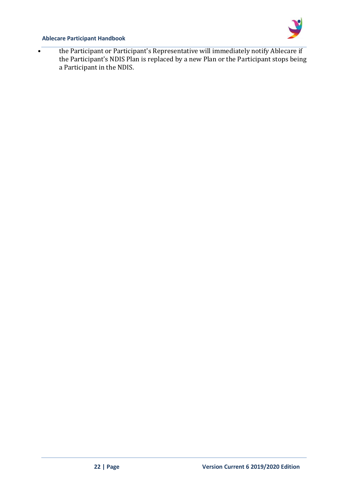

#### **Ablecare Participant Handbook**

• the Participant or Participant's Representative will immediately notify Ablecare if the Participant's NDIS Plan is replaced by a new Plan or the Participant stops being a Participant in the NDIS.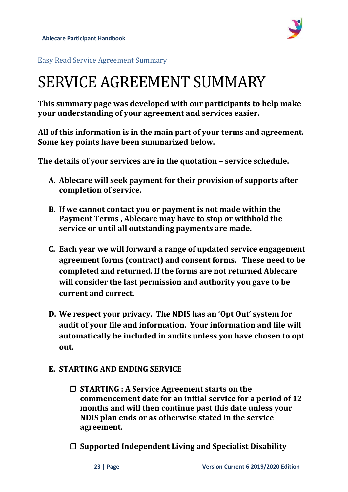

<span id="page-22-0"></span>Easy Read Service Agreement Summary

## SERVICE AGREEMENT SUMMARY

**This summary page was developed with our participants to help make your understanding of your agreement and services easier.** 

**All of this information is in the main part of your terms and agreement. Some key points have been summarized below.**

**The details of your services are in the quotation – service schedule.**

- **A. Ablecare will seek payment for their provision of supports after completion of service.**
- **B. If we cannot contact you or payment is not made within the Payment Terms , Ablecare may have to stop or withhold the service or until all outstanding payments are made.**
- **C. Each year we will forward a range of updated service engagement agreement forms (contract) and consent forms. These need to be completed and returned. If the forms are not returned Ablecare will consider the last permission and authority you gave to be current and correct.**
- **D. We respect your privacy. The NDIS has an 'Opt Out' system for audit of your file and information. Your information and file will automatically be included in audits unless you have chosen to opt out.**

### **E. STARTING AND ENDING SERVICE**

 **STARTING : A Service Agreement starts on the commencement date for an initial service for a period of 12 months and will then continue past this date unless your NDIS plan ends or as otherwise stated in the service agreement.**

**Supported Independent Living and Specialist Disability**